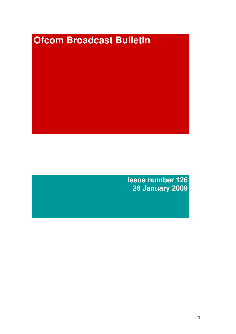# **Ofcom Broadcast Bulletin**

**Issue number 126 26 January 2009**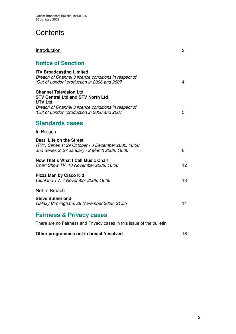# **Contents**

| Introduction                                                                                                                             | 3  |
|------------------------------------------------------------------------------------------------------------------------------------------|----|
| <b>Notice of Sanction</b>                                                                                                                |    |
| <b>ITV Broadcasting Limited</b><br>Breach of Channel 3 licence conditions in respect of<br>'Out of London' production in 2006 and 2007   | 4  |
| <b>Channel Television Ltd</b><br><b>STV Central Ltd and STV North Ltd</b><br><b>UTV Ltd</b>                                              |    |
| Breach of Channel 3 licence conditions in respect of<br>'Out of London' production in 2006 and 2007                                      | 5  |
| <b>Standards cases</b>                                                                                                                   |    |
| In Breach                                                                                                                                |    |
| <b>Beat: Life on the Street</b><br>ITV1, Series 1: 29 October - 3 December 2006, 18:00<br>and Series 2: 27 January - 2 March 2008, 18:00 | 6  |
| <b>Now That's What I Call Music Chart</b><br>Chart Show TV, 18 November 2008, 16:00                                                      | 12 |
| Pizza Man by Cisco Kid<br>Clubland TV, 4 November 2008, 19:30                                                                            | 13 |
| Not In Breach                                                                                                                            |    |
| <b>Steve Sutherland</b><br>Galaxy Birmingham, 29 November 2008, 21:55                                                                    | 14 |
| <b>Fairness &amp; Privacy cases</b>                                                                                                      |    |
| There are no Fairness and Privacy cases in this issue of the bulletin                                                                    |    |
| Other programmes not in breach/resolved                                                                                                  | 16 |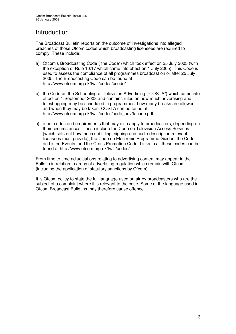# Introduction

The Broadcast Bulletin reports on the outcome of investigations into alleged breaches of those Ofcom codes which broadcasting licensees are required to comply. These include:

- a) Ofcom's Broadcasting Code ("the Code") which took effect on 25 July 2005 (with the exception of Rule 10.17 which came into effect on 1 July 2005). This Code is used to assess the compliance of all programmes broadcast on or after 25 July 2005. The Broadcasting Code can be found at http://www.ofcom.org.uk/tv/ifi/codes/bcode/
- b) the Code on the Scheduling of Television Advertising ("COSTA") which came into effect on 1 September 2008 and contains rules on how much advertising and teleshopping may be scheduled in programmes, how many breaks are allowed and when they may be taken. COSTA can be found at http://www.ofcom.org.uk/tv/ifi/codes/code\_adv/tacode.pdf.
- c) other codes and requirements that may also apply to broadcasters, depending on their circumstances. These include the Code on Television Access Services (which sets out how much subtitling, signing and audio description relevant licensees must provide), the Code on Electronic Programme Guides, the Code on Listed Events, and the Cross Promotion Code. Links to all these codes can be found at http://www.ofcom.org.uk/tv/ifi/codes/

From time to time adjudications relating to advertising content may appear in the Bulletin in relation to areas of advertising regulation which remain with Ofcom (including the application of statutory sanctions by Ofcom).

It is Ofcom policy to state the full language used on air by broadcasters who are the subject of a complaint where it is relevant to the case. Some of the language used in Ofcom Broadcast Bulletins may therefore cause offence.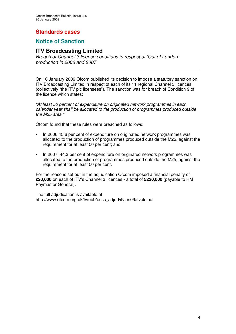# **Standards cases**

# **Notice of Sanction**

# **ITV Broadcasting Limited**

*Breach of Channel 3 licence conditions in respect of 'Out of London' production in 2006 and 2007*

On 16 January 2009 Ofcom published its decision to impose a statutory sanction on ITV Broadcasting Limited in respect of each of its 11 regional Channel 3 licences (collectively "the ITV plc licensees"). The sanction was for breach of Condition 9 of the licence which states:

*"At least 50 percent of expenditure on originated network programmes in each calendar year shall be allocated to the production of programmes produced outside the M25 area."*

Ofcom found that these rules were breached as follows:

- In 2006 45.6 per cent of expenditure on originated network programmes was allocated to the production of programmes produced outside the M25, against the requirement for at least 50 per cent; and
- In 2007, 44.3 per cent of expenditure on originated network programmes was allocated to the production of programmes produced outside the M25, against the requirement for at least 50 per cent.

For the reasons set out in the adjudication Ofcom imposed a financial penalty of **£20,000** on each of ITV's Channel 3 licences - a total of **£220,000** (payable to HM Paymaster General).

The full adjudication is available at: http://www.ofcom.org.uk/tv/obb/ocsc\_adjud/itvjan09/itvplc.pdf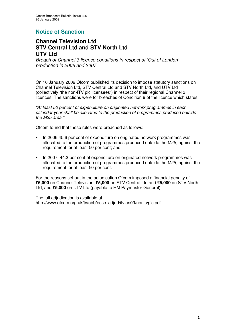# **Notice of Sanction**

# **Channel Television Ltd STV Central Ltd and STV North Ltd UTV Ltd**

*Breach of Channel 3 licence conditions in respect of 'Out of London' production in 2006 and 2007*

On 16 January 2009 Ofcom published its decision to impose statutory sanctions on Channel Television Ltd, STV Central Ltd and STV North Ltd, and UTV Ltd (collectively "the non-ITV plc licensees") in respect of their regional Channel 3 licences. The sanctions were for breaches of Condition 9 of the licence which states:

*"At least 50 percent of expenditure on originated network programmes in each calendar year shall be allocated to the production of programmes produced outside the M25 area."*

Ofcom found that these rules were breached as follows:

- In 2006 45.6 per cent of expenditure on originated network programmes was allocated to the production of programmes produced outside the M25, against the requirement for at least 50 per cent; and
- In 2007, 44.3 per cent of expenditure on originated network programmes was allocated to the production of programmes produced outside the M25, against the requirement for at least 50 per cent.

For the reasons set out in the adjudication Ofcom imposed a financial penalty of **£5,000** on Channel Television; **£5,000** on STV Central Ltd and **£5,000** on STV North Ltd; and **£5,000** on UTV Ltd (payable to HM Paymaster General).

The full adjudication is available at: http://www.ofcom.org.uk/tv/obb/ocsc\_adjud/itvjan09/nonitvplc.pdf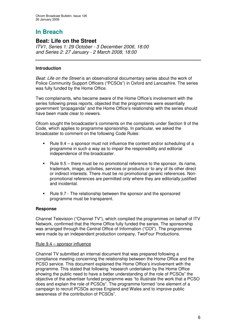# **In Breach**

# **Beat: Life on the Street**

*ITV1, Series 1: 29 October - 3 December 2006, 18:00 and Series 2: 27 January - 2 March 2008, 18:00*

### **Introduction**

*Beat: Life on the Street* is an observational documentary series about the work of Police Community Support Officers ("PCSOs") in Oxford and Lancashire. The series was fully funded by the Home Office.

Two complainants, who became aware of the Home Office's involvement with the series following press reports, objected that the programmes were essentially government "propaganda" and the Home Office's relationship with the series should have been made clear to viewers.

Ofcom sought the broadcaster's comments on the complaints under Section 9 of the Code, which applies to programme sponsorship. In particular, we asked the broadcaster to comment on the following Code Rules:

- **Rule 9.4 a sponsor must not influence the content and/or scheduling of a** programme in such a way as to impair the responsibility and editorial independence of the broadcaster.
- Rule 9.5 there must be no promotional reference to the sponsor, its name, trademark, image, activities, services or products or to any of its other direct or indirect interests. There must be no promotional generic references. Nonpromotional references are permitted only where they are editorially justified and incidental.
- Rule 9.7 The relationship between the sponsor and the sponsored programme must be transparent.

### **Response**

Channel Television ("Channel TV"), which complied the programmes on behalf of ITV Network, confirmed that the Home Office fully funded the series. The sponsorship was arranged through the Central Office of Information ("COI"). The programmes were made by an independent production company, TwoFour Productions.

### Rule 9.4 – sponsor influence

Channel TV submitted an internal document that was prepared following a compliance meeting concerning the relationship between the Home Office and the PCSO service. This document explained the Home Office's involvement with the programme. This stated that following "research undertaken by the Home Office showing the public need to have a better understanding of the role of PCSOs" the objective of the advertiser funded programme was "to illustrate the work that a PCSO does and explain the role of PCSOs". The programme formed "one element of a campaign to recruit PCSOs across England and Wales and to improve public awareness of the contribution of PCSOs".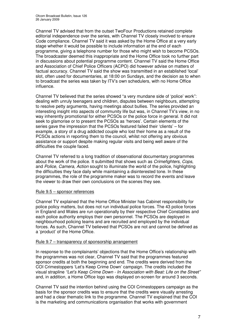Channel TV advised that from the outset TwoFour Productions retained complete editorial independence over the series, with Channel TV closely involved to ensure Code compliance. Channel TV said it was asked by the Home Office at a very early stage whether it would be possible to include information at the end of each programme, giving a telephone number for those who might wish to become PCSOs. The broadcaster deemed this inappropriate and the Home Office took no further part in discussions about potential programme content. Channel TV said the Home Office and Association of Chief Police Officers (ACPO) did however advise on matters of factual accuracy. Channel TV said the show was transmitted in an established 'local' slot, often used for documentaries, at 18:00 on Sundays, and the decision as to when to broadcast the series was taken by ITV's own schedulers, with no Home Office influence.

Channel TV believed that the series showed "a very mundane side of 'police' work": dealing with unruly teenagers and children, disputes between neighbours, attempting to resolve petty arguments, having meetings about bullies. The series provided an interesting insight into aspects of community life but was, in Channel TV's view, in no way inherently promotional for either PCSOs or the police force in general. It did not seek to glamorise or to present the PCSOs as 'heroes'. Certain elements of the series gave the impression that the PCSOs featured failed their 'clients' – for example, a story of a drug addicted couple who lost their home as a result of the PCSOs actions in reporting them to the council, whilst not offering any obvious assistance or support despite making regular visits and being well aware of the difficulties the couple faced.

Channel TV referred to a long tradition of observational documentary programmes about the work of the police. It submitted that shows such as *Crimefighters*, *Cops*, and *Police*, *Camera*, *Action* sought to illuminate the world of the police, highlighting the difficulties they face daily while maintaining a disinterested tone. In these programmes, the role of the programme maker was to record the events and leave the viewer to draw their own conclusions on the scenes they see.

### Rule 9.5 – sponsor references

Channel TV explained that the Home Office Minister has Cabinet responsibility for police policy matters, but does not run individual police forces. The 43 police forces in England and Wales are run operationally by their respective Chief Constables and each police authority employs their own personnel. The PCSOs are deployed in neighbourhood policing teams and are recruited and employed by the individual forces. As such, Channel TV believed that PCSOs are not and cannot be defined as a 'product' of the Home Office.

### Rule 9.7 – transparency of sponsorship arrangement

In response to the complainants' objections that the Home Office's relationship with the programmes was not clear, Channel TV said that the programmes featured sponsor credits at both the beginning and end. The credits were derived from the COI Crimestoppers 'Let's Keep Crime Down' campaign. The credits included the visual strapline *"Let's Keep Crime Down - In Association with Beat: Life on the Street"* and, in addition, a Home Office logo was displayed on-screen for around 3 seconds.

Channel TV said the intention behind using the COI Crimestoppers campaign as the basis for the sponsor credits was to ensure that the credits were visually arresting and had a clear thematic link to the programme. Channel TV explained that the COI is the marketing and communications organisation that works with government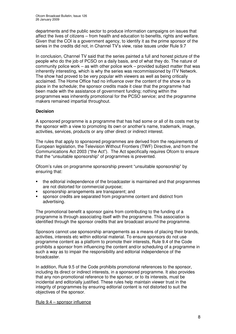departments and the public sector to produce information campaigns on issues that affect the lives of citizens – from health and education to benefits, rights and welfare. Given that the COI is a government agency, to identify it as the prime sponsor of the series in the credits did not, in Channel TV's view, raise issues under Rule 9.7

In conclusion, Channel TV said that the series painted a full and honest picture of the people who do the job of PCSO on a daily basis, and of what they do. The nature of community police work – as with other police work – provided subject matter that was inherently interesting, which is why the series was recommissioned by ITV Network. The show had proved to be very popular with viewers as well as being critically acclaimed. The Home Office had no influence over the content of the show or its place in the schedule; the sponsor credits made it clear that the programme had been made with the assistance of government funding; nothing within the programmes was inherently promotional for the PCSO service; and the programme makers remained impartial throughout.

### **Decision**

A sponsored programme is a programme that has had some or all of its costs met by the sponsor with a view to promoting its own or another's name, trademark, image, activities, services, products or any other direct or indirect interest.

The rules that apply to sponsored programmes are derived from the requirements of European legislation, the Television Without Frontiers (TWF) Directive, and from the Communications Act 2003 ("the Act"). The Act specifically requires Ofcom to ensure that the "unsuitable sponsorship" of programmes is prevented.

Ofcom's rules on programme sponsorship prevent "unsuitable sponsorship" by ensuring that:

- the editorial independence of the broadcaster is maintained and that programmes are not distorted for commercial purpose;
- sponsorship arrangements are transparent; and
- sponsor credits are separated from programme content and distinct from advertising.

The promotional benefit a sponsor gains from contributing to the funding of a programme is through associating itself with the programme. This association is identified through the sponsor credits that are broadcast around the programme.

Sponsors cannot use sponsorship arrangements as a means of placing their brands, activities, interests etc within editorial material. To ensure sponsors do not use programme content as a platform to promote their interests, Rule 9.4 of the Code prohibits a sponsor from influencing the content and/or scheduling of a programme in such a way as to impair the responsibility and editorial independence of the broadcaster.

In addition, Rule 9.5 of the Code prohibits promotional references to the sponsor, including its direct or indirect interests, in a sponsored programme. It also provides that any non-promotional reference to the sponsor, or to its interests, must be incidental and editorially justified. These rules help maintain viewer trust in the integrity of programmes by ensuring editorial content is not distorted to suit the objectives of the sponsor.

Rule 9.4 – sponsor influence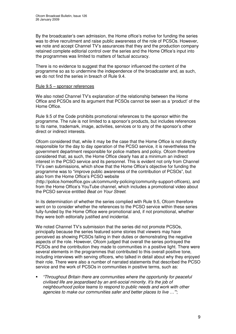By the broadcaster's own admission, the Home office's motive for funding the series was to drive recruitment and raise public awareness of the role of PCSOs. However, we note and accept Channel TV's assurances that they and the production company retained complete editorial control over the series and the Home Office's input into the programmes was limited to matters of factual accuracy.

There is no evidence to suggest that the sponsor influenced the content of the programme so as to undermine the independence of the broadcaster and, as such, we do not find the series in breach of Rule 9.4.

### Rule 9.5 – sponsor references

We also noted Channel TV's explanation of the relationship between the Home Office and PCSOs and its argument that PCSOs cannot be seen as a 'product' of the Home Office.

Rule 9.5 of the Code prohibits promotional references to the sponsor within the programme. The rule is not limited to a sponsor's products, but includes references to its name, trademark, image, activities, services or to any of the sponsor's other direct or indirect interests.

Ofcom considered that, while it may be the case that the Home Office is not directly responsible for the day to day operation of the PCSO service, it is nevertheless the government department responsible for police matters and policy. Ofcom therefore considered that, as such, the Home Office clearly has at a minimum an indirect interest in the PCSO service and its personnel. This is evident not only from Channel TV's own submissions, which show that the Home Office's objective for funding the programme was to "improve public awareness of the contribution of PCSOs", but also from the Home Office's PCSO website

(http://police.homeoffice.gov.uk/community-policing/community-support-officers), and from the Home Office's YouTube channel, which includes a promotional video about the PCSO service entitled *Beat on Your Street*.

In its determination of whether the series complied with Rule 9.5, Ofcom therefore went on to consider whether the references to the PCSO service within these series fully-funded by the Home Office were promotional and, if not promotional, whether they were both editorially justified and incidental.

We noted Channel TV's submission that the series did not promote PCSOs, principally because the series featured some stories that viewers may have perceived as showing PCSOs failing in their duties or demonstrating the negative aspects of the role. However, Ofcom judged that overall the series portrayed the PCSOs and the contribution they made to communities in a positive light. There were several elements in the programmes that contributed to this overall positive tone, including interviews with serving officers, who talked in detail about why they enjoyed their role. There were also a number of narrated statements that described the PCSO service and the work of PCSOs in communities in positive terms, such as:

 *"Throughout Britain there are communities where the opportunity for peaceful civilised life are jeopardised by an anti-social minority. It's the job of neighbourhood police teams to respond to public needs and work with other agencies to make our communities safer and better places to live …"'*;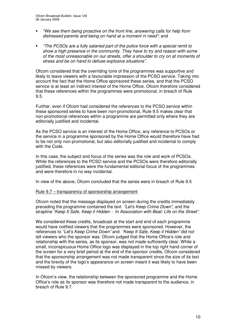- *"We see them being proactive on the front line, answering calls for help from distressed parents and being on hand at a moment in need"*; and
- *"The PCSOs are a fully salaried part of the police force with a special remit to show a high presence in the community. They have to try and reason with some of the most unreasonable on our streets, offer a shoulder to cry on at moments of stress and be on hand to defuse explosive situations"*.

Ofcom considered that the overriding tone of the programmes was supportive and likely to leave viewers with a favourable impression of the PCSO service. Taking into account the fact that the Home Office sponsored these series, and that the PCSO service is at least an indirect interest of the Home Office, Ofcom therefore considered that these references within the programmes were promotional, in breach of Rule 9.5.

Further, even if Ofcom had considered the references to the PCSO service within these sponsored series to have been non-promotional, Rule 9.5 makes clear that non-promotional references within a programme are permitted only where they are editorially justified and incidental.

As the PCSO service is an interest of the Home Office, any reference to PCSOs or the service in a programme sponsored by the Home Office would therefore have had to be not only non-promotional, but also editorially justified and incidental to comply with the Code.

In this case, the subject and focus of the series was the role and work of PCSOs. While the references to the PCSO service and the PCSOs were therefore editorially justified, these references were the fundamental editorial focus of the programmes and were therefore in no way incidental.

In view of the above, Ofcom concluded that the series were in breach of Rule 9.5

### Rule 9.7 – transparency of sponsorship arrangement

Ofcom noted that the message displayed on screen during the credits immediately preceding the programme contained the text *"Let's Keep Crime Down",* and the strapline *"Keep It Safe, Keep it Hidden - In Association with Beat: Life on the Street"*.

We considered these credits, broadcast at the start and end of each programme would have notified viewers that the programmes were sponsored. However, the references to *"Let's Keep Crime Down"* and *"Keep It Safe, Keep it Hidden"* did not tell viewers who the sponsor was. Ofcom judged that the Home Office's role and relationship with the series, as its sponsor, was not made sufficiently clear. While a small, inconspicuous Home Office logo was displayed in the top right hand corner of the screen for a very brief period at the end of the sponsor credits, Ofcom considered that the sponsorship arrangement was not made transparent since the size of its text and the brevity of the logo's appearance on screen meant it was likely to have been missed by viewers.

In Ofcom's view, the relationship between the sponsored programme and the Home Office's role as its sponsor was therefore not made transparent to the audience, in breach of Rule 9.7.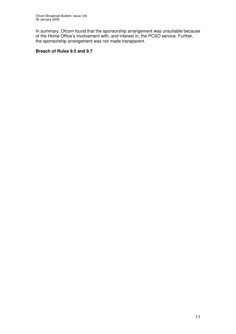In summary, Ofcom found that the sponsorship arrangement was unsuitable because of the Home Office's involvement with, and interest in, the PCSO service. Further, the sponsorship arrangement was not made transparent.

### **Breach of Rules 9.5 and 9.7**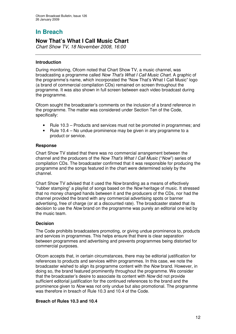# **In Breach**

# **Now That's What I Call Music Chart**

*Chart Show TV, 18 November 2008, 16:00*

### **Introduction**

During monitoring, Ofcom noted that Chart Show TV, a music channel, was broadcasting a programme called *Now That's What I Call Music Chart.* A graphic of the programme's name, which incorporated the "Now That's What I Call Music" logo (a brand of commercial compilation CDs) remained on screen throughout the programme. It was also shown in full screen between each video broadcast during the programme.

Ofcom sought the broadcaster's comments on the inclusion of a brand reference in the programme. The matter was considered under Section Ten of the Code, specifically:

- Rule 10.3 Products and services must not be promoted in programmes; and
- Rule 10.4 No undue prominence may be given in any programme to a product or service.

### **Response**

Chart Show TV stated that there was no commercial arrangement between the channel and the producers of the *Now That's What I Call Music* ("*Now*") series of compilation CDs. The broadcaster confirmed that it was responsible for producing the programme and the songs featured in the chart were determined solely by the channel.

Chart Show TV advised that it used the *Now* branding as a means of effectively "rubber stamping" a playlist of songs based on the *Now* heritage of music. It stressed that no money changed hands between it and the producers of the CDs, nor had the channel provided the brand with any commercial advertising spots or banner advertising, free of charge (or at a discounted rate). The broadcaster stated that its decision to use the *Now* brand on the programme was purely an editorial one led by the music team.

### **Decision**

The Code prohibits broadcasters promoting, or giving undue prominence to, products and services in programmes. This helps ensure that there is clear separation between programmes and advertising and prevents programmes being distorted for commercial purposes.

Ofcom accepts that, in certain circumstances, there may be editorial justification for references to products and services within programmes. In this case, we note the broadcaster wished to align its programme content with the *Now* brand. However, in doing so, the brand featured prominently throughout the programme. We consider that the broadcaster's desire to associate its content with *Now* did not provide sufficient editorial justification for the continued references to the brand and the prominence given to *Now* was not only undue but also promotional. The programme was therefore in breach of Rule 10.3 and 10.4 of the Code.

### **Breach of Rules 10.3 and 10.4**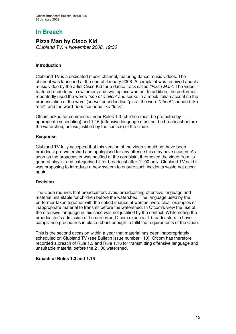# **In Breach**

# **Pizza Man by Cisco Kid**

*Clubland TV, 4 November 2008, 19:30*

### **Introduction**

Clubland TV is a dedicated music channel, featuring dance music videos. The channel was launched at the end of January 2008. A complaint was received about a music video by the artist Cisco Kid for a dance track called *"Pizza Man"*. The video featured nude female swimmers and two topless women. In addition, the performer repeatedly used the words *"son of a bitch"* and spoke in a mock Italian accent so the pronunciation of the word *"peace"* sounded like "piss", the word *"sheet"* sounded like "shit", and the word *"fork"* sounded like "fuck".

Ofcom asked for comments under Rules 1.3 (children must be protected by appropriate scheduling) and 1.16 (offensive language must not be broadcast before the watershed, unless justified by the context) of the Code.

### **Response**

Clubland TV fully accepted that this version of the video should not have been broadcast pre-watershed and apologised for any offence this may have caused. As soon as the broadcaster was notified of the complaint it removed the video from its general playlist and categorised it for broadcast after 21:00 only. Clubland TV said it was proposing to introduce a new system to ensure such incidents would not occur again.

### **Decision**

The Code requires that broadcasters avoid broadcasting offensive language and material unsuitable for children before the watershed. The language used by the performer taken together with the naked images of women, were clear examples of inappropriate material to transmit before the watershed. In Ofcom's view the use of the offensive language in this case was not justified by the context. While noting the broadcaster's admission of human error, Ofcom expects all broadcasters to have compliance procedures in place robust enough to fulfil the requirements of the Code.

This is the second occasion within a year that material has been inappropriately scheduled on Clubland TV (see Bulletin issue number 110). Ofcom has therefore recorded a breach of Rule 1.3 and Rule 1.16 for transmitting offensive language and unsuitable material before the 21:00 watershed.

### **Breach of Rules 1.3 and 1.16**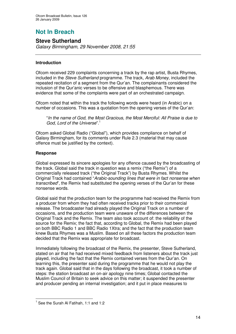# **Not In Breach**

# **Steve Sutherland**

*Galaxy Birmingham, 29 November 2008, 21:55*

### **Introduction**

Ofcom received 229 complaints concerning a track by the rap artist, Busta Rhymes, included in the *Steve Sutherland* programme. The track, *Arab Money,* included the repeated recitation of a segment from the Qur'an. The complainants considered the inclusion of the Qur'anic verses to be offensive and blasphemous. There was evidence that some of the complaints were part of an orchestrated campaign.

Ofcom noted that within the track the following words were heard (in Arabic) on a number of occasions. This was a quotation from the opening verses of the Qur'an:

"*In the name of God, the Most Gracious, the Most Merciful: All Praise is due to God, Lord of the Universe*". 1

Ofcom asked Global Radio ("Global"), which provides compliance on behalf of Galaxy Birmingham, for its comments under Rule 2.3 (material that may cause offence must be justified by the context).

### **Response**

Global expressed its sincere apologies for any offence caused by the broadcasting of the track. Global said the track in question was a remix ("the Remix") of a commercially released track ("the Original Track") by Busta Rhymes. Whilst the Original Track had contained "*Arabic-sounding lines that were in fact nonsense when transcribed*", the Remix had substituted the opening verses of the Qur'an for these nonsense words.

Global said that the production team for the programme had received the Remix from a producer from whom they had often received tracks prior to their commercial release. The broadcaster had already played the Original Track on a number of occasions, and the production team were unaware of the differences between the Original Track and the Remix. The team also took account of: the reliability of the source for the Remix; the fact that, according to Global, the Remix had been played on both BBC Radio 1 and BBC Radio 1Xtra; and the fact that the production team knew Busta Rhymes was a Muslim. Based on all these factors the production team decided that the Remix was appropriate for broadcast.

Immediately following the broadcast of the Remix, the presenter, Steve Sutherland, stated on air that he had received mixed feedback from listeners about the track just played, including the fact that the Remix contained verses from the Qur'an. On learning this, the presenter said during the programme that he would not play the track again. Global said that in the days following the broadcast, it took a number of steps: the station broadcast an on-air apology nine times; Global contacted the Muslim Council of Britain to seek advice on this matter; it suspended the presenter and producer pending an internal investigation; and it put in place measures to

<sup>1</sup> See the Surah Al Fatihah, 1:1 and 1:2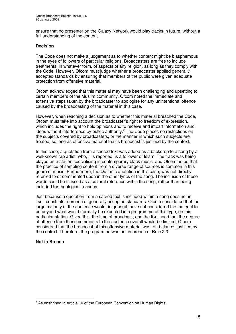ensure that no presenter on the Galaxy Network would play tracks in future, without a full understanding of the content.

### **Decision**

The Code does not make a judgement as to whether content might be blasphemous in the eyes of followers of particular religions. Broadcasters are free to include treatments, in whatever form, of aspects of any religion, as long as they comply with the Code. However, Ofcom must judge whether a broadcaster applied generally accepted standards by ensuring that members of the public were given adequate protection from offensive material.

Ofcom acknowledged that this material may have been challenging and upsetting to certain members of the Muslim community. Ofcom noted the immediate and extensive steps taken by the broadcaster to apologise for any unintentional offence caused by the broadcasting of the material in this case.

However, when reaching a decision as to whether this material breached the Code, Ofcom must take into account the broadcaster's right to freedom of expression, which includes the right to hold opinions and to receive and impart information and ideas without interference by public authority.<sup>2</sup> The Code places no restrictions on the subjects covered by broadcasters, or the manner in which such subjects are treated, so long as offensive material that is broadcast is justified by the context.

In this case, a quotation from a sacred text was added as a backdrop to a song by a well-known rap artist, who, it is reported, is a follower of Islam. The track was being played on a station specialising in contemporary black music, and Ofcom noted that the practice of sampling content from a diverse range of sources is common in this genre of music. Furthermore, the Qur'anic quotation in this case, was not directly referred to or commented upon in the other lyrics of the song. The inclusion of these words could be classed as a cultural reference within the song, rather than being included for theological reasons.

Just because a quotation from a sacred text is included within a song does not in itself constitute a breach of generally accepted standards. Ofcom considered that the large majority of the audience would, in general, have not considered the material to be beyond what would normally be expected in a programme of this type, on this particular station. Given this, the time of broadcast, and the likelihood that the degree of offence from these comments to the audience overall would be limited, Ofcom considered that the broadcast of this offensive material was, on balance, justified by the context. Therefore, the programme was not in breach of Rule 2.3.

### **Not in Breach**

 $2^{2}$  As enshrined in Article 10 of the European Convention on Human Rights.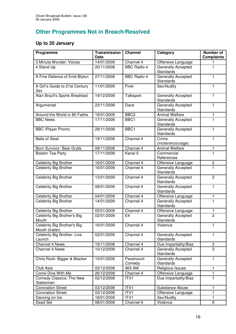# **Other Programmes Not in Breach/Resolved**

# **Up to 20 January**

| Programme                                      | <b>Transmission</b><br><b>Date</b> | <b>Channel</b>      | Category                               | <b>Number of</b><br><b>Complaints</b> |
|------------------------------------------------|------------------------------------|---------------------|----------------------------------------|---------------------------------------|
| 3 Minute Wonder: Voices                        | 14/01/2009                         | Channel 4           | Offensive Language                     |                                       |
| 4 Stand Up                                     | 20/11/2008                         | <b>BBC Radio 4</b>  | Generally Accepted<br><b>Standards</b> | 1                                     |
| A Fine Defence of Enid Blyton                  | 27/11/2008                         | <b>BBC Radio 4</b>  | <b>Generally Accepted</b><br>Standards | $\mathbf{1}$                          |
| A Girl's Guide to 21st Century<br>Sex          | 11/01/2009                         | Fiver               | Sex/Nudity                             | 1                                     |
| Alan Brazil's Sports Breakfast                 | 19/12/2008                         | Talksport           | Generally Accepted<br>Standards        | 1                                     |
| Argumental                                     | 23/11/2008                         | Dave                | Generally Accepted<br><b>Standards</b> | $\mathbf{1}$                          |
| Around the World in 80 Faiths                  | 16/01/2009                         | BBC <sub>2</sub>    | <b>Animal Welfare</b>                  | 1                                     |
| <b>BBC News</b>                                | 17/11/2008                         | BBC1                | <b>Generally Accepted</b><br>Standards | $\overline{1}$                        |
| <b>BBC iPlayer Promo</b>                       | 28/11/2008                         | BBC1                | Generally Accepted<br>Standards        | 1                                     |
| <b>Balls of Steel</b>                          | 19/11/2008                         | Channel 4           | Crime<br>(incite/encourage)            | $\mathbf{1}$                          |
| Born Survivor: Bear Grylls                     | 09/11/2008                         | Channel 4           | <b>Animal Welfare</b>                  | 1                                     |
| <b>Boston Tea Party</b>                        | 17/11/2008                         | Kanal 5             | Commercial<br>References               | 1                                     |
| Celebrity Big Brother                          | 16/01/2009                         | Channel 4           | Offensive Language                     | 2                                     |
| Celebrity Big Brother                          | 16/01/2009                         | Channel 4           | Generally Accepted<br>Standards        | $\overline{1}$                        |
| Celebrity Big Brother                          | 13/01/2009                         | Channel 4           | Generally Accepted<br>Standards        | $\overline{2}$                        |
| Celebrity Big Brother                          | 08/01/2009                         | Channel 4           | Generally Accepted<br>Standards        | $\mathbf{1}$                          |
| Celebrity Big Brother                          | 04/01/2009                         | Channel 4           | Offensive Language                     | 1                                     |
| <b>Celebrity Big Brother</b>                   | 14/01/2009                         | Channel 4           | Generally Accepted<br><b>Standards</b> | $\mathbf{1}$                          |
| Celebrity Big Brother                          | 05/01/2009                         | Channel 4           | Offensive Language                     | 1                                     |
| Celebrity Big Brother's Big<br>Mouth           | 02/01/2009                         | E <sub>4</sub>      | Generally Accepted<br>Standards        | $\overline{2}$                        |
| Celebrity Big Brother's Big<br>Mouth (trailer) | 16/01/2009                         | Channel 4           | Violence                               | 1                                     |
| Celebrity Big Brother: Live<br>Launch          | 02/01/2009                         | Channel 4           | Generally Accepted<br>Standards        | 1                                     |
| Channel 4 News                                 | 19/11/2008                         | Channel 4           | Due Impartiality/Bias                  | 3                                     |
| Channel 4 News                                 | 10/12/2008                         | Channel 4           | Generally Accepted<br>Standards        | $\overline{3}$                        |
| Chris Rock: Bigger & Blacker                   | 10/01/2009                         | Paramount<br>Comedy | Generally Accepted<br>Standards        | $\mathbf{1}$                          |
| Club Asia                                      | 02/12/2008                         | 963 AM              | Religious Issues                       | $\mathbf{1}$                          |
| Come Dine With Me                              | 26/12/2008                         | Channel 4           | Offensive Language                     | $\mathbf{1}$                          |
| Comedy Classics: The New<br>Statesman          | 02/12/2008                         | ITV1                | Due Impartiality/Bias                  | 1                                     |
| <b>Coronation Street</b>                       | 03/12/2008                         | ITV1                | Substance Abuse                        | 1                                     |
| <b>Coronation Street</b>                       | 03/12/2008                         | ITV1                | Offensive Language                     | $\mathbf{1}$                          |
| Dancing on Ice                                 | 18/01/2009                         | ITV1                | Sex/Nudity                             | 1                                     |
| Dead Set                                       | 08/01/2009                         | Channel 4           | Violence                               | 6                                     |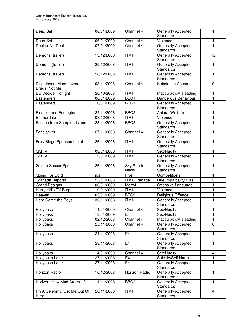| Dead Set                                | 06/01/2009 | Channel 4                        | Generally Accepted<br><b>Standards</b>        | 1                       |
|-----------------------------------------|------------|----------------------------------|-----------------------------------------------|-------------------------|
| Dead Set                                | 06/01/2009 | Channel 4                        | Violence                                      | 1                       |
| Deal or No Deal                         | 07/01/2009 | Channel 4                        | Generally Accepted<br><b>Standards</b>        | $\mathbf{1}$            |
| Demons (trailer)                        | 13/12/2008 | ITV1                             | Generally Accepted<br><b>Standards</b>        | 12                      |
| Demons (trailer)                        | 29/12/2008 | ITV1                             | Generally Accepted<br><b>Standards</b>        | $\mathbf{1}$            |
| Demons (trailer)                        | 28/12/2008 | ITV1                             | Generally Accepted<br><b>Standards</b>        | $\mathbf{1}$            |
| Dispatches: Mum Loves<br>Drugs, Not Me  | 03/11/2008 | Channel 4                        | Substance Abuse                               | $\boldsymbol{9}$        |
| EU Decide: Tonight                      | 20/10/2008 | ITV <sub>1</sub>                 | Inaccuracy/Misleading                         | 1                       |
| Eastenders                              | 06/01/2009 | BBC <sub>1</sub>                 | Dangerous Behaviour                           | 1                       |
| Eastenders                              | 16/01/2009 | BBC1                             | Generally Accepted<br><b>Standards</b>        | $\overline{1}$          |
| Einstein and Eddington                  | 22/11/2008 | BBC <sub>2</sub>                 | <b>Animal Welfare</b>                         | $\mathbf{1}$            |
| Emmerdale                               | 03/12/2008 | ITV1                             | Violence                                      | $\mathbf{1}$            |
| <b>Escape from Scorpion Island</b>      | 23/11/2008 | BBC <sub>2</sub>                 | <b>Generally Accepted</b><br><b>Standards</b> | $\mathbf{1}$            |
| Fonejacker                              | 27/11/2008 | Channel 4                        | Generally Accepted<br><b>Standards</b>        | $\mathbf{1}$            |
| Foxy Bingo Sponsorship of               | 26/11/2008 | ITV <sub>1</sub>                 | Generally Accepted<br><b>Standards</b>        | $\mathbf{1}$            |
| <b>GMTV</b>                             | 09/01/2008 | ITVI                             | Sex/Nudity                                    | 1                       |
| <b>GMTV</b>                             | 12/01/2009 | ITVI                             | Generally Accepted<br><b>Standards</b>        | $\mathbf{1}$            |
| Gillette Soccer Special                 | 26/11/2008 | <b>Sky Sports</b><br><b>News</b> | Generally Accepted<br><b>Standards</b>        | $\mathbf{1}$            |
| Going For Gold                          | n/a        | Five                             | Competitions                                  | 1                       |
| Granada Reports                         | 25/11/2008 | <b>ITV1</b> Granada              | Due Impartiality/Bias                         | 3                       |
| <b>Grand Designs</b>                    | 06/01/2009 | More4                            | Offensive Language                            | $\mathbf{1}$            |
| Harry Hill's TV Burp                    | 10/01/2009 | ITV <sub>1</sub>                 | Violence                                      | $\overline{1}$          |
| Heaven                                  | 05/01/2009 | BBC <sub>2</sub>                 | Religious Offence                             | $\mathbf{1}$            |
| Here Come the Boys                      | 30/11/2008 | ITV1                             | Generally Accepted<br>Standards               | $\overline{1}$          |
| Hollyoaks                               | 14/01/2009 | Channel 4                        | Sex/Nudity                                    | 1                       |
| Hollyoaks                               | 13/01/2009 | E <sub>4</sub>                   | Sex/Nudity                                    | 1                       |
| Hollyoaks                               | 02/12/2008 | Channel 4                        | Inaccuracy/Misleading                         | $\mathbf{1}$            |
| Hollyoaks                               | 25/11/2008 | Channel 4                        | <b>Generally Accepted</b><br><b>Standards</b> | 6                       |
| Hollyoaks                               | 24/11/2008 | E <sub>4</sub>                   | Generally Accepted<br><b>Standards</b>        | $\mathbf{1}$            |
| Hollyoaks                               | 28/11/2008 | E <sub>4</sub>                   | Generally Accepted<br><b>Standards</b>        | $\mathbf{1}$            |
| Hollyoaks                               | 14/01/2009 | Channel 4                        | Sex/Nudity                                    | $\overline{\mathbf{4}}$ |
| Hollyoaks Later                         | 27/11/2008 | E <sub>4</sub>                   | Suicide/Self Harm                             | 1                       |
| Hollyoaks Later                         | 27/11/2008 | E <sub>4</sub>                   | Generally Accepted<br><b>Standards</b>        | 1                       |
| Horizon Radio                           | 10/12/2008 | Horizon Radio                    | Generally Accepted<br><b>Standards</b>        | $\mathbf{1}$            |
| Horizon: How Mad Are You?               | 11/11/2008 | BBC <sub>2</sub>                 | Generally Accepted<br><b>Standards</b>        | $\mathbf{1}$            |
| I'm A Celebrity, Get Me Out Of<br>Here! | 20/11/2008 | ITV1                             | Generally Accepted<br>Standards               | $\overline{4}$          |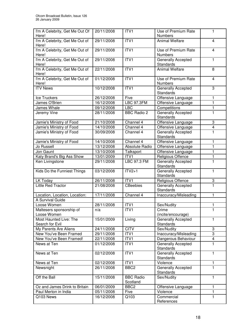| I'm A Celebrity, Get Me Out Of<br>Here!   | 20/11/2008 | ITV1                         | Use of Premium Rate<br><b>Numbers</b>         | 1                       |
|-------------------------------------------|------------|------------------------------|-----------------------------------------------|-------------------------|
| I'm A Celebrity, Get Me Out of<br>Here!   | 29/11/2008 | ITVI                         | <b>Animal Welfare</b>                         | $\overline{\mathbf{4}}$ |
| I'm A Celebrity, Get Me Out of<br>Here!   | 29/11/2008 | ITVI                         | Use of Premium Rate<br><b>Numbers</b>         | $\overline{\mathbf{4}}$ |
| I'm A Celebrity, Get Me Out of<br>Here!   | 29/11/2008 | ITVI                         | Generally Accepted<br><b>Standards</b>        | $\mathbf{1}$            |
| I'm A Celebrity, Get Me Out of<br>Here!   | 22/11/2008 | ITVI                         | <b>Animal Welfare</b>                         | 8                       |
| I'm A Celebrity, Get Me Out of<br>Here!   | 01/12/2008 | ITVI                         | Use of Premium Rate<br><b>Numbers</b>         | $\overline{\mathbf{4}}$ |
| <b>ITV News</b>                           | 10/12/2008 | ITVI                         | Generally Accepted<br><b>Standards</b>        | 3                       |
| Ice Truckers                              | 26/12/2008 | Five                         | Offensive Language                            | $\mathbf{1}$            |
| James O'Brien                             | 16/12/2008 | <b>LBC 97.3FM</b>            | Offensive Language                            | $\mathbf{1}$            |
| James Whale                               | 09/12/2008 | <b>LBC</b>                   | Competitions                                  | $\mathbf{1}$            |
| Jeremy Vine                               | 28/11/2008 | <b>BBC Radio 2</b>           | Generally Accepted<br><b>Standards</b>        | $\overline{1}$          |
| Jamie's Ministry of Food                  | 21/10/2008 | Channel 4                    | Offensive Language                            | 3                       |
| Jamie's Ministry of Food                  | 14/10/2008 | Channel 4                    | Offensive Language                            | $\overline{\mathbf{4}}$ |
| Jamie's Ministry of Food                  | 30/09/2008 | Channel 4                    | <b>Generally Accepted</b><br>Standards        | 1                       |
| Jamie's Ministry of Food                  | 14/10/2008 | Channel 4                    | Offensive Language                            | 1                       |
| Jo Russell                                | 13/12/2008 | Absolute Radio               | Offensive Language                            | $\overline{1}$          |
| Jon Gaunt                                 | 13/10/2008 | Talksport                    | Offensive Language                            | $\mathbf{1}$            |
| Katy Brand's Big Ass Show                 | 13/01/2009 | ITV1                         | Religious Offence                             | 1                       |
| Ken Livingstone                           | 29/11/2008 | <b>LBC 97.3 FM</b>           | Generally Accepted<br>Standards               | $\overline{1}$          |
| Kids Do the Funniest Things               | 03/12/2008 | $ITV2+1$                     | <b>Generally Accepted</b><br>Standards        | $\mathbf{1}$            |
| LK Today                                  | 26/11/2008 | ITVI                         | Religious Offence                             | 3                       |
| Little Red Tractor                        | 21/08/2008 | <b>CBeebies</b>              | Generally Accepted<br>Standards               | $\mathbf{1}$            |
| Location, Location, Location:             | 17/11/2008 | Channel 4                    | Inaccuracy/Misleading                         | $\mathbf{1}$            |
| A Survival Guide                          |            |                              |                                               |                         |
| Loose Women                               | 28/11/2008 | ITV1                         | Sex/Nudity                                    | 1                       |
| Maltesers sponsorship of<br>Loose Women   | n/a        | ITV1                         | Crime<br>(incite/encourage)                   | 1                       |
| Most Haunted Live: The<br>Search for Evil | 15/01/2009 | Living                       | <b>Generally Accepted</b><br><b>Standards</b> | $\mathbf{1}$            |
| My Parents Are Aliens                     | 24/11/2008 | <b>CITV</b>                  | Sex/Nudity                                    | 3                       |
| New You've Been Framed                    | 29/11/2008 | ITV1                         | Inaccuracy/Misleading                         | 3                       |
| New You've Been Framed!                   | 22/11/2008 | ITV1                         | Dangerous Behaviour                           | $\overline{\mathbf{4}}$ |
| News at Ten                               | 01/12/2008 | ITV1                         | Generally Accepted<br><b>Standards</b>        | 1                       |
| News at Ten                               | 02/12/2008 | ITV1                         | Generally Accepted<br><b>Standards</b>        | $\mathbf{1}$            |
| News at Ten                               | 02/12/2008 | ITV1                         | Violence                                      | 1                       |
| Newsnight                                 | 26/11/2008 | BBC <sub>2</sub>             | <b>Generally Accepted</b><br><b>Standards</b> | $\mathbf{1}$            |
| Off the Ball                              | 15/11/2008 | <b>BBC Radio</b><br>Scotland | Sex/Nudity                                    | $\mathbf{1}$            |
| Oz and James Drink to Britain             | 06/01/2009 | BBC <sub>2</sub>             | Offensive Language                            | $\mathbf{1}$            |
| Paul Merton in India                      | 05/11/2008 | Five                         | Violence                                      | $\mathbf{1}$            |
| Q103 News                                 | 16/12/2008 | Q103                         | Commercial<br>References                      | $\mathbf{1}$            |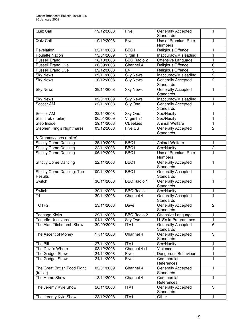| Quiz Call                                 | 19/12/2008 | Five               | Generally Accepted<br>Standards        | 1              |
|-------------------------------------------|------------|--------------------|----------------------------------------|----------------|
| Quiz Call                                 | 19/12/2008 | Five               | Use of Premium Rate<br><b>Numbers</b>  | $\mathbf{1}$   |
| Revelation                                | 23/11/2008 | BBC <sub>1</sub>   | <b>Religious Offence</b>               | 1              |
| <b>Roulette Nation</b>                    | 13/01/2009 | Virgin 1           | Inaccuracy/Misleading                  | $\mathbf{1}$   |
| <b>Russell Brand</b>                      | 18/10/2008 | <b>BBC Radio 2</b> | Offensive Language                     | 1              |
| <b>Russell Brand Live</b>                 | 26/09/2008 | Channel 4          | Religious Offence                      | 6              |
| <b>Russell Brand Live</b>                 | 29/12/2008 | E <sub>4</sub>     | Religious Offence                      | 3              |
| <b>Sky News</b>                           | 29/11/2008 | <b>Sky News</b>    | Inaccuracy/Misleading                  | $\overline{2}$ |
| <b>Sky News</b>                           | 10/12/2008 | <b>Sky News</b>    | <b>Generally Accepted</b><br>Standards | $\overline{2}$ |
| <b>Sky News</b>                           | 29/11/2008 | <b>Sky News</b>    | Generally Accepted<br>Standards        | $\mathbf{1}$   |
| <b>Sky News</b>                           | 02/01/2009 | <b>Sky News</b>    | Inaccuracy/Misleading                  | 1              |
| Soccer AM                                 | 22/11/2008 | Sky One            | Generally Accepted<br>Standards        | $\mathbf{1}$   |
| Soccer AM                                 | 22/11/2008 | Sky One            | Sex/Nudity                             | $\mathbf{1}$   |
| Star Trek (trailer)                       | 06/01/2009 | Virgin1 $+1$       | Sex/Nudity                             | $\mathbf{1}$   |
| Step Inside                               | 29/11/2008 | <b>CBeebies</b>    | <b>Animal Welfare</b>                  | 1              |
| <b>Stephen King's Nightmares</b>          | 03/12/2008 | Five US            | Generally Accepted<br>Standards        | $\overline{2}$ |
| & Dreamscapes (trailer)                   |            |                    |                                        |                |
| <b>Strictly Come Dancing</b>              | 25/10/2008 | BBC <sub>1</sub>   | <b>Animal Welfare</b>                  | 1              |
| <b>Strictly Come Dancing</b>              | 22/11/2008 | BBC1               | Sex/Nudity                             | $\overline{2}$ |
| <b>Strictly Come Dancing</b>              | 06/12/2008 | BBC1               | Use of Premium Rate<br><b>Numbers</b>  | $\mathbf{1}$   |
| <b>Strictly Come Dancing</b>              | 22/11/2008 | BBC1               | Generally Accepted<br>Standards        | $\mathbf{1}$   |
| Strictly Come Dancing: The<br>Results     | 09/11/2008 | BBC1               | Generally Accepted<br>Standards        | $\mathbf{1}$   |
| Switch                                    | 30/11/2008 | <b>BBC Radio 1</b> | Generally Accepted<br>Standards        | $\mathbf{1}$   |
| Switch                                    | 30/11/2008 | <b>BBC Radio 1</b> | Sex/Nudity                             | $\mathbf{1}$   |
| T <sub>4</sub>                            | 30/11/2008 | Channel 4          | Generally Accepted<br>Standards        | $\overline{1}$ |
| TOTP <sub>2</sub>                         | 23/11/2008 | Dave               | Generally Accepted<br><b>Standards</b> | $\overline{2}$ |
| Teenage Kicks                             | 29/11/2008 | <b>BBC Radio 2</b> | Offensive Language                     | 1              |
| <b>Tenerife Uncovered</b>                 | 01/11/2008 | Sky Two            | U18's in Programmes                    | $\mathbf{1}$   |
| The Alan Titchmarsh Show                  | 30/09/2008 | ITV1               | Generally Accepted<br>Standards        | 6              |
| The Ascent of Money                       | 17/11/2008 | Channel 4          | Generally Accepted<br><b>Standards</b> | 3              |
| The Bill                                  | 27/11/2008 | ITV1               | Sex/Nudity                             | $\mathbf{1}$   |
| The Devil's Whore                         | 03/12/2008 | Channel 4+1        | Violence                               | $\mathbf{1}$   |
| The Gadget Show                           | 24/11/2008 | Five               | Dangerous Behaviour                    | 1              |
| The Gadget Show                           | 24/11/2008 | Five               | Commercial<br>References               | $\mathbf{1}$   |
| The Great British Food Fight<br>(trailer) | 03/01/2009 | Channel 4          | Generally Accepted<br>Standards        | $\mathbf{1}$   |
| The Home Show                             | 13/11/2008 | Channel 4          | Commercial<br>References               | $\mathbf{1}$   |
| The Jeremy Kyle Show                      | 26/11/2008 | ITV1               | Generally Accepted<br>Standards        | 3              |
| The Jeremy Kyle Show                      | 23/12/2008 | ITV <sub>1</sub>   | Other                                  | $\mathbf{1}$   |